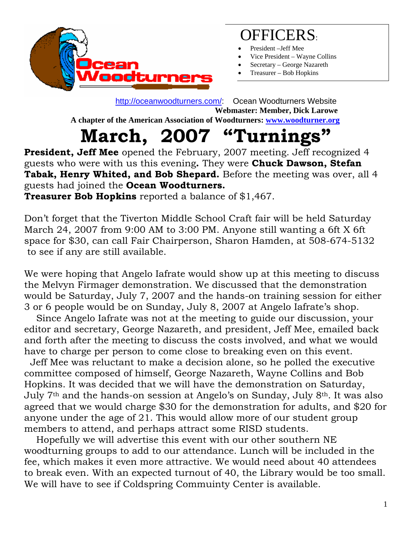

### OFFICERS:

- President –Jeff Mee
- Vice President Wayne Collins
- Secretary George Nazareth
- Treasurer Bob Hopkins

 http://oceanwoodturners.com/: Ocean Woodturners Website **Webmaster: Member, Dick Larowe A chapter of the American Association of Woodturners: www.woodturner.org** 

## **March, 2007 "Turnings"**

**President, Jeff Mee** opened the February, 2007 meeting. Jeff recognized 4 guests who were with us this evening**.** They were **Chuck Dawson, Stefan Tabak, Henry Whited, and Bob Shepard.** Before the meeting was over, all 4 guests had joined the **Ocean Woodturners.** 

**Treasurer Bob Hopkins** reported a balance of \$1,467.

Don't forget that the Tiverton Middle School Craft fair will be held Saturday March 24, 2007 from 9:00 AM to 3:00 PM. Anyone still wanting a 6ft X 6ft space for \$30, can call Fair Chairperson, Sharon Hamden, at 508-674-5132 to see if any are still available.

We were hoping that Angelo Iafrate would show up at this meeting to discuss the Melvyn Firmager demonstration. We discussed that the demonstration would be Saturday, July 7, 2007 and the hands-on training session for either 3 or 6 people would be on Sunday, July 8, 2007 at Angelo Iafrate's shop.

 Since Angelo Iafrate was not at the meeting to guide our discussion, your editor and secretary, George Nazareth, and president, Jeff Mee, emailed back and forth after the meeting to discuss the costs involved, and what we would have to charge per person to come close to breaking even on this event.

 Jeff Mee was reluctant to make a decision alone, so he polled the executive committee composed of himself, George Nazareth, Wayne Collins and Bob Hopkins. It was decided that we will have the demonstration on Saturday, July 7th and the hands-on session at Angelo's on Sunday, July 8th. It was also agreed that we would charge \$30 for the demonstration for adults, and \$20 for anyone under the age of 21. This would allow more of our student group members to attend, and perhaps attract some RISD students.

 Hopefully we will advertise this event with our other southern NE woodturning groups to add to our attendance. Lunch will be included in the fee, which makes it even more attractive. We would need about 40 attendees to break even. With an expected turnout of 40, the Library would be too small. We will have to see if Coldspring Commuinty Center is available.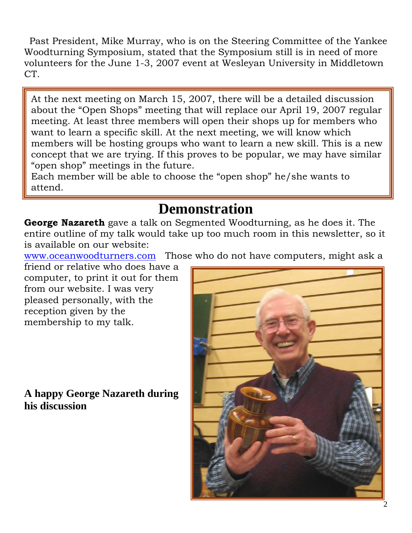Past President, Mike Murray, who is on the Steering Committee of the Yankee Woodturning Symposium, stated that the Symposium still is in need of more volunteers for the June 1-3, 2007 event at Wesleyan University in Middletown CT.

At the next meeting on March 15, 2007, there will be a detailed discussion about the "Open Shops" meeting that will replace our April 19, 2007 regular meeting. At least three members will open their shops up for members who want to learn a specific skill. At the next meeting, we will know which members will be hosting groups who want to learn a new skill. This is a new concept that we are trying. If this proves to be popular, we may have similar "open shop" meetings in the future.

Each member will be able to choose the "open shop" he/she wants to attend.

### **Demonstration**

**George Nazareth** gave a talk on Segmented Woodturning, as he does it. The entire outline of my talk would take up too much room in this newsletter, so it is available on our website:

www.oceanwoodturners.com Those who do not have computers, might ask a

friend or relative who does have a computer, to print it out for them from our website. I was very pleased personally, with the reception given by the membership to my talk.

#### **A happy George Nazareth during his discussion**

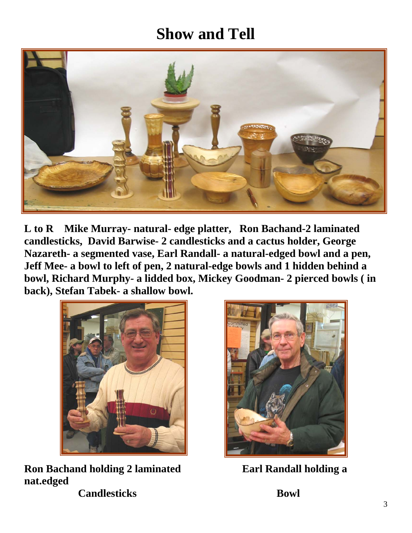## **Show and Tell**



**L to R Mike Murray- natural- edge platter, Ron Bachand-2 laminated candlesticks, David Barwise- 2 candlesticks and a cactus holder, George Nazareth- a segmented vase, Earl Randall- a natural-edged bowl and a pen, Jeff Mee- a bowl to left of pen, 2 natural-edge bowls and 1 hidden behind a bowl, Richard Murphy- a lidded box, Mickey Goodman- 2 pierced bowls ( in back), Stefan Tabek- a shallow bowl.** 



**Ron Bachand holding 2 laminated Earl Randall holding a nat.edged Candlesticks** Bowl

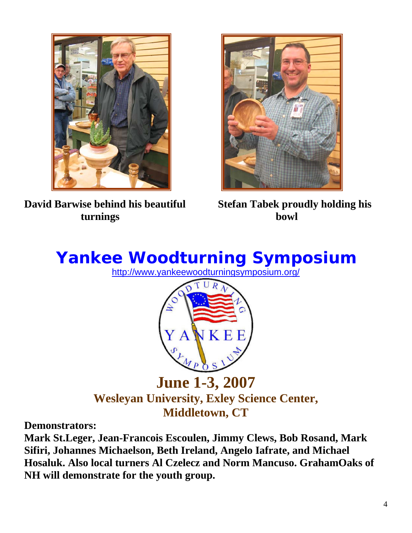

**David Barwise behind his beautiful Stefan Tabek proudly holding his turnings bowl** 



# **Yankee Woodturning Symposium**

http://www.yankeewoodturningsymposium.org/



**June 1-3, 2007 Wesleyan University, Exley Science Center, Middletown, CT**

**Demonstrators:**

**Mark St.Leger, Jean-Francois Escoulen, Jimmy Clews, Bob Rosand, Mark Sifiri, Johannes Michaelson, Beth Ireland, Angelo Iafrate, and Michael Hosaluk. Also local turners Al Czelecz and Norm Mancuso. GrahamOaks of NH will demonstrate for the youth group.**